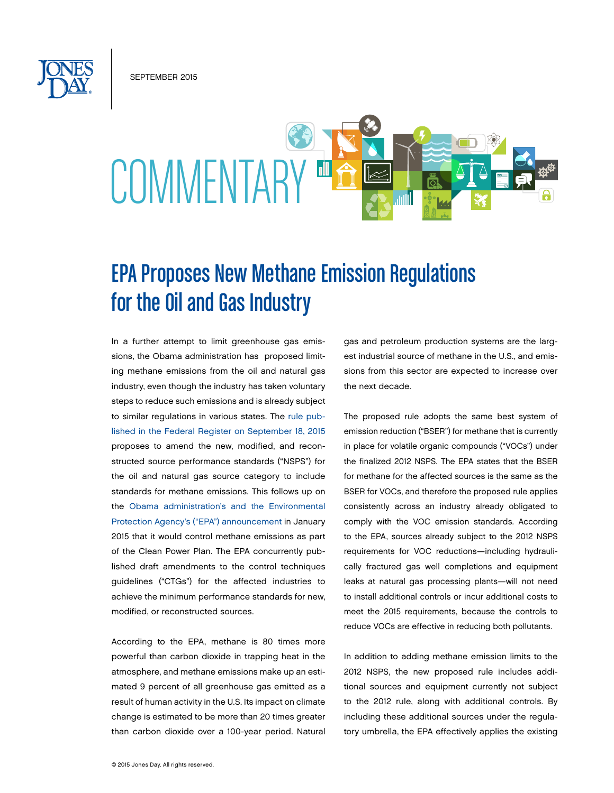SEPTEMBER 2015



# EPA Proposes New Methane Emission Regulations for the Oil and Gas Industry

In a further attempt to limit greenhouse gas emissions, the Obama administration has proposed limiting methane emissions from the oil and natural gas industry, even though the industry has taken voluntary steps to reduce such emissions and is already subject to similar regulations in various states. The [rule pub](https://www.federalregister.gov/articles/2015/09/18/2015-21023/oil-and-natural-gas-sector-emission-standards-for-new-and-modified-sources)[lished in the Federal Register on September 18, 2015](https://www.federalregister.gov/articles/2015/09/18/2015-21023/oil-and-natural-gas-sector-emission-standards-for-new-and-modified-sources) proposes to amend the new, modified, and reconstructed source performance standards ("NSPS") for the oil and natural gas source category to include standards for methane emissions. This follows up on the [Obama administration's and the Environmental](http://www.jonesday.com/obama-administration-seeks-to-cut-methane-emissions-02-11-2015/)  [Protection Agency's \("EPA"\) announcement](http://www.jonesday.com/obama-administration-seeks-to-cut-methane-emissions-02-11-2015/) in January 2015 that it would control methane emissions as part of the Clean Power Plan. The EPA concurrently published draft amendments to the control techniques guidelines ("CTGs") for the affected industries to achieve the minimum performance standards for new, modified, or reconstructed sources.

According to the EPA, methane is 80 times more powerful than carbon dioxide in trapping heat in the atmosphere, and methane emissions make up an estimated 9 percent of all greenhouse gas emitted as a result of human activity in the U.S. Its impact on climate change is estimated to be more than 20 times greater than carbon dioxide over a 100-year period. Natural gas and petroleum production systems are the largest industrial source of methane in the U.S., and emissions from this sector are expected to increase over the next decade.

The proposed rule adopts the same best system of emission reduction ("BSER") for methane that is currently in place for volatile organic compounds ("VOCs") under the finalized 2012 NSPS. The EPA states that the BSER for methane for the affected sources is the same as the BSER for VOCs, and therefore the proposed rule applies consistently across an industry already obligated to comply with the VOC emission standards. According to the EPA, sources already subject to the 2012 NSPS requirements for VOC reductions—including hydraulically fractured gas well completions and equipment leaks at natural gas processing plants—will not need to install additional controls or incur additional costs to meet the 2015 requirements, because the controls to reduce VOCs are effective in reducing both pollutants.

In addition to adding methane emission limits to the 2012 NSPS, the new proposed rule includes additional sources and equipment currently not subject to the 2012 rule, along with additional controls. By including these additional sources under the regulatory umbrella, the EPA effectively applies the existing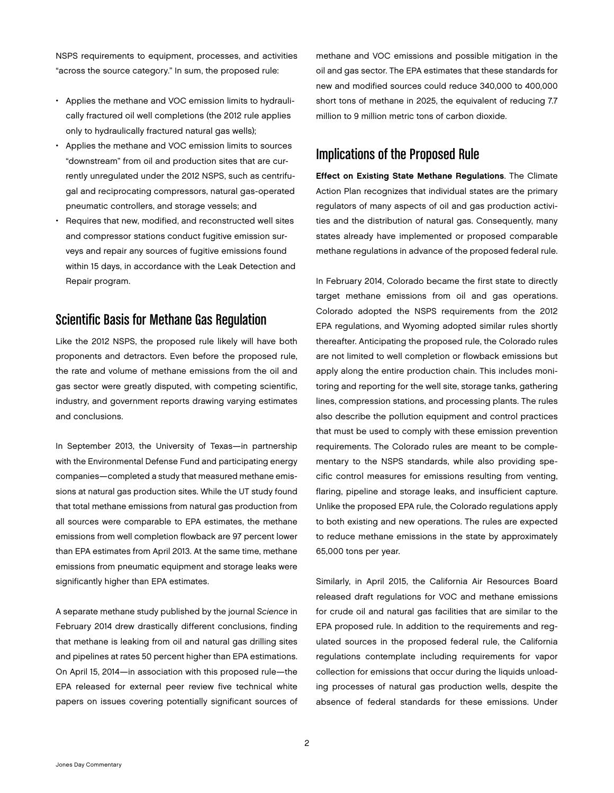NSPS requirements to equipment, processes, and activities "across the source category." In sum, the proposed rule:

- Applies the methane and VOC emission limits to hydraulically fractured oil well completions (the 2012 rule applies only to hydraulically fractured natural gas wells);
- Applies the methane and VOC emission limits to sources "downstream" from oil and production sites that are currently unregulated under the 2012 NSPS, such as centrifugal and reciprocating compressors, natural gas-operated pneumatic controllers, and storage vessels; and
- Requires that new, modified, and reconstructed well sites and compressor stations conduct fugitive emission surveys and repair any sources of fugitive emissions found within 15 days, in accordance with the Leak Detection and Repair program.

### Scientific Basis for Methane Gas Regulation

Like the 2012 NSPS, the proposed rule likely will have both proponents and detractors. Even before the proposed rule, the rate and volume of methane emissions from the oil and gas sector were greatly disputed, with competing scientific, industry, and government reports drawing varying estimates and conclusions.

In September 2013, the University of Texas—in partnership with the Environmental Defense Fund and participating energy companies—completed a study that measured methane emissions at natural gas production sites. While the UT study found that total methane emissions from natural gas production from all sources were comparable to EPA estimates, the methane emissions from well completion flowback are 97 percent lower than EPA estimates from April 2013. At the same time, methane emissions from pneumatic equipment and storage leaks were significantly higher than EPA estimates.

A separate methane study published by the journal *Science* in February 2014 drew drastically different conclusions, finding that methane is leaking from oil and natural gas drilling sites and pipelines at rates 50 percent higher than EPA estimations. On April 15, 2014—in association with this proposed rule—the EPA released for external peer review five technical white papers on issues covering potentially significant sources of

methane and VOC emissions and possible mitigation in the oil and gas sector. The EPA estimates that these standards for new and modified sources could reduce 340,000 to 400,000 short tons of methane in 2025, the equivalent of reducing 7.7 million to 9 million metric tons of carbon dioxide.

## Implications of the Proposed Rule

Effect on Existing State Methane Regulations. The Climate Action Plan recognizes that individual states are the primary regulators of many aspects of oil and gas production activities and the distribution of natural gas. Consequently, many states already have implemented or proposed comparable methane regulations in advance of the proposed federal rule.

In February 2014, Colorado became the first state to directly target methane emissions from oil and gas operations. Colorado adopted the NSPS requirements from the 2012 EPA regulations, and Wyoming adopted similar rules shortly thereafter. Anticipating the proposed rule, the Colorado rules are not limited to well completion or flowback emissions but apply along the entire production chain. This includes monitoring and reporting for the well site, storage tanks, gathering lines, compression stations, and processing plants. The rules also describe the pollution equipment and control practices that must be used to comply with these emission prevention requirements. The Colorado rules are meant to be complementary to the NSPS standards, while also providing specific control measures for emissions resulting from venting, flaring, pipeline and storage leaks, and insufficient capture. Unlike the proposed EPA rule, the Colorado regulations apply to both existing and new operations. The rules are expected to reduce methane emissions in the state by approximately 65,000 tons per year.

Similarly, in April 2015, the California Air Resources Board released draft regulations for VOC and methane emissions for crude oil and natural gas facilities that are similar to the EPA proposed rule. In addition to the requirements and regulated sources in the proposed federal rule, the California regulations contemplate including requirements for vapor collection for emissions that occur during the liquids unloading processes of natural gas production wells, despite the absence of federal standards for these emissions. Under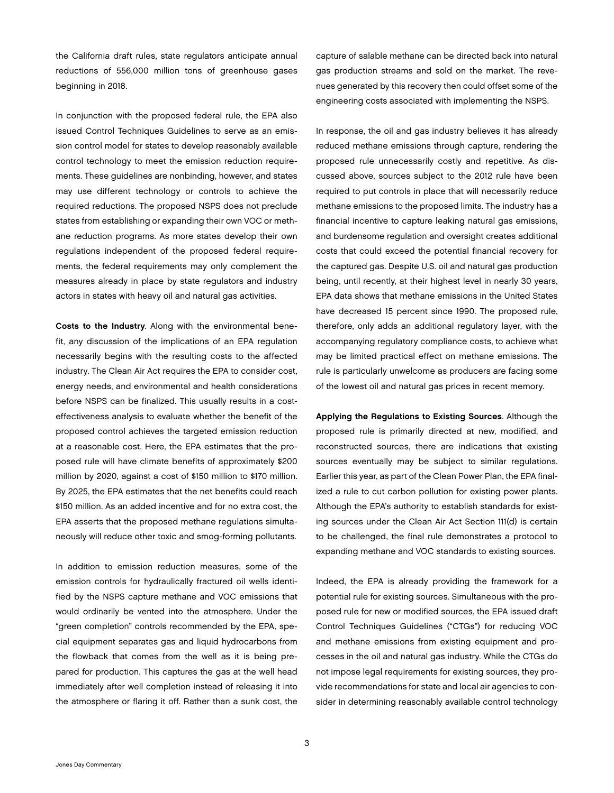the California draft rules, state regulators anticipate annual reductions of 556,000 million tons of greenhouse gases beginning in 2018.

In conjunction with the proposed federal rule, the EPA also issued Control Techniques Guidelines to serve as an emission control model for states to develop reasonably available control technology to meet the emission reduction requirements. These guidelines are nonbinding, however, and states may use different technology or controls to achieve the required reductions. The proposed NSPS does not preclude states from establishing or expanding their own VOC or methane reduction programs. As more states develop their own regulations independent of the proposed federal requirements, the federal requirements may only complement the measures already in place by state regulators and industry actors in states with heavy oil and natural gas activities.

Costs to the Industry. Along with the environmental benefit, any discussion of the implications of an EPA regulation necessarily begins with the resulting costs to the affected industry. The Clean Air Act requires the EPA to consider cost, energy needs, and environmental and health considerations before NSPS can be finalized. This usually results in a costeffectiveness analysis to evaluate whether the benefit of the proposed control achieves the targeted emission reduction at a reasonable cost. Here, the EPA estimates that the proposed rule will have climate benefits of approximately \$200 million by 2020, against a cost of \$150 million to \$170 million. By 2025, the EPA estimates that the net benefits could reach \$150 million. As an added incentive and for no extra cost, the EPA asserts that the proposed methane regulations simultaneously will reduce other toxic and smog-forming pollutants.

In addition to emission reduction measures, some of the emission controls for hydraulically fractured oil wells identified by the NSPS capture methane and VOC emissions that would ordinarily be vented into the atmosphere. Under the "green completion" controls recommended by the EPA, special equipment separates gas and liquid hydrocarbons from the flowback that comes from the well as it is being prepared for production. This captures the gas at the well head immediately after well completion instead of releasing it into the atmosphere or flaring it off. Rather than a sunk cost, the

capture of salable methane can be directed back into natural gas production streams and sold on the market. The revenues generated by this recovery then could offset some of the engineering costs associated with implementing the NSPS.

In response, the oil and gas industry believes it has already reduced methane emissions through capture, rendering the proposed rule unnecessarily costly and repetitive. As discussed above, sources subject to the 2012 rule have been required to put controls in place that will necessarily reduce methane emissions to the proposed limits. The industry has a financial incentive to capture leaking natural gas emissions, and burdensome regulation and oversight creates additional costs that could exceed the potential financial recovery for the captured gas. Despite U.S. oil and natural gas production being, until recently, at their highest level in nearly 30 years, EPA data shows that methane emissions in the United States have decreased 15 percent since 1990. The proposed rule, therefore, only adds an additional regulatory layer, with the accompanying regulatory compliance costs, to achieve what may be limited practical effect on methane emissions. The rule is particularly unwelcome as producers are facing some of the lowest oil and natural gas prices in recent memory.

Applying the Regulations to Existing Sources. Although the proposed rule is primarily directed at new, modified, and reconstructed sources, there are indications that existing sources eventually may be subject to similar regulations. Earlier this year, as part of the Clean Power Plan, the EPA finalized a rule to cut carbon pollution for existing power plants. Although the EPA's authority to establish standards for existing sources under the Clean Air Act Section 111(d) is certain to be challenged, the final rule demonstrates a protocol to expanding methane and VOC standards to existing sources.

Indeed, the EPA is already providing the framework for a potential rule for existing sources. Simultaneous with the proposed rule for new or modified sources, the EPA issued draft Control Techniques Guidelines ("CTGs") for reducing VOC and methane emissions from existing equipment and processes in the oil and natural gas industry. While the CTGs do not impose legal requirements for existing sources, they provide recommendations for state and local air agencies to consider in determining reasonably available control technology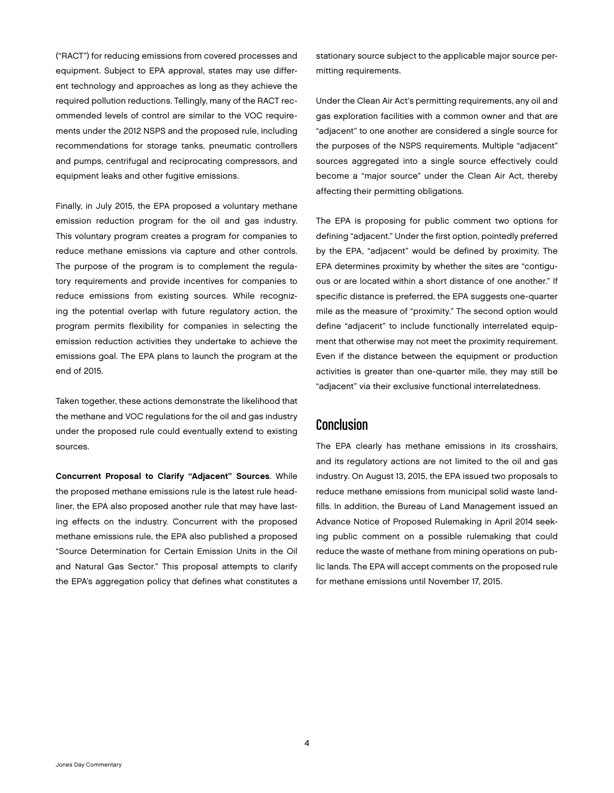("RACT") for reducing emissions from covered processes and equipment. Subject to EPA approval, states may use different technology and approaches as long as they achieve the required pollution reductions. Tellingly, many of the RACT recommended levels of control are similar to the VOC requirements under the 2012 NSPS and the proposed rule, including recommendations for storage tanks, pneumatic controllers and pumps, centrifugal and reciprocating compressors, and equipment leaks and other fugitive emissions.

Finally, in July 2015, the EPA proposed a voluntary methane emission reduction program for the oil and gas industry. This voluntary program creates a program for companies to reduce methane emissions via capture and other controls. The purpose of the program is to complement the regulatory requirements and provide incentives for companies to reduce emissions from existing sources. While recognizing the potential overlap with future regulatory action, the program permits flexibility for companies in selecting the emission reduction activities they undertake to achieve the emissions goal. The EPA plans to launch the program at the end of 2015.

Taken together, these actions demonstrate the likelihood that the methane and VOC regulations for the oil and gas industry under the proposed rule could eventually extend to existing sources.

Concurrent Proposal to Clarify "Adjacent" Sources. While the proposed methane emissions rule is the latest rule headliner, the EPA also proposed another rule that may have lasting effects on the industry. Concurrent with the proposed methane emissions rule, the EPA also published a proposed "Source Determination for Certain Emission Units in the Oil and Natural Gas Sector." This proposal attempts to clarify the EPA's aggregation policy that defines what constitutes a

stationary source subject to the applicable major source permitting requirements.

Under the Clean Air Act's permitting requirements, any oil and gas exploration facilities with a common owner and that are "adjacent" to one another are considered a single source for the purposes of the NSPS requirements. Multiple "adjacent" sources aggregated into a single source effectively could become a "major source" under the Clean Air Act, thereby affecting their permitting obligations.

The EPA is proposing for public comment two options for defining "adjacent." Under the first option, pointedly preferred by the EPA, "adjacent" would be defined by proximity. The EPA determines proximity by whether the sites are "contiguous or are located within a short distance of one another." If specific distance is preferred, the EPA suggests one-quarter mile as the measure of "proximity." The second option would define "adjacent" to include functionally interrelated equipment that otherwise may not meet the proximity requirement. Even if the distance between the equipment or production activities is greater than one-quarter mile, they may still be "adjacent" via their exclusive functional interrelatedness.

#### Conclusion

The EPA clearly has methane emissions in its crosshairs, and its regulatory actions are not limited to the oil and gas industry. On August 13, 2015, the EPA issued two proposals to reduce methane emissions from municipal solid waste landfills. In addition, the Bureau of Land Management issued an Advance Notice of Proposed Rulemaking in April 2014 seeking public comment on a possible rulemaking that could reduce the waste of methane from mining operations on public lands. The EPA will accept comments on the proposed rule for methane emissions until November 17, 2015.